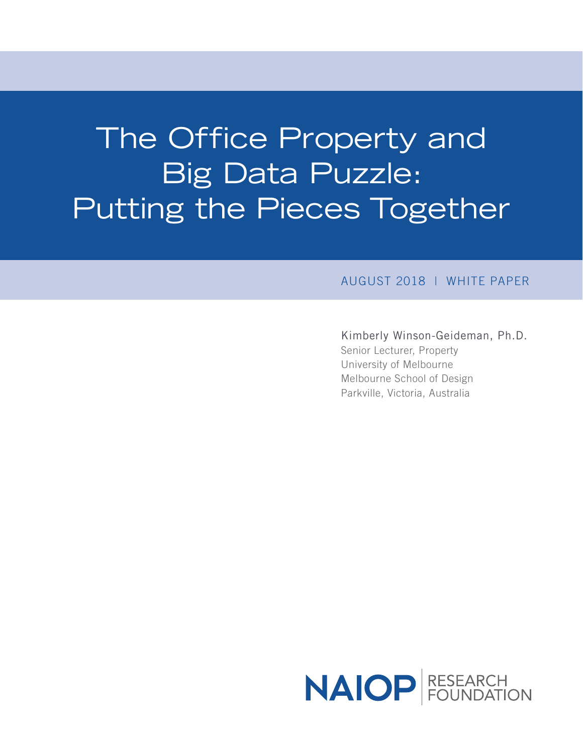# The Office Property and Big Data Puzzle: Putting the Pieces Together

### AUGUST 2018 | WHITE PAPER

### Kimberly Winson-Geideman, Ph.D.

Senior Lecturer, Property University of Melbourne Melbourne School of Design Parkville, Victoria, Australia

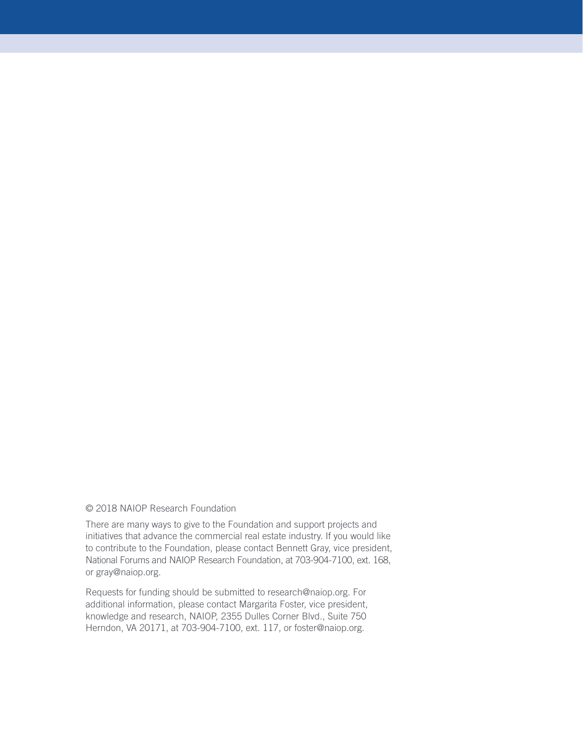#### © 2018 NAIOP Research Foundation

There are many ways to give to the Foundation and support projects and initiatives that advance the commercial real estate industry. If you would like to contribute to the Foundation, please contact Bennett Gray, vice president, National Forums and NAIOP Research Foundation, at 703-904-7100, ext. 168, or gray@naiop.org.

Requests for funding should be submitted to research@naiop.org. For additional information, please contact Margarita Foster, vice president, knowledge and research, NAIOP, 2355 Dulles Corner Blvd., Suite 750 Herndon, VA 20171, at 703-904-7100, ext. 117, or foster@naiop.org.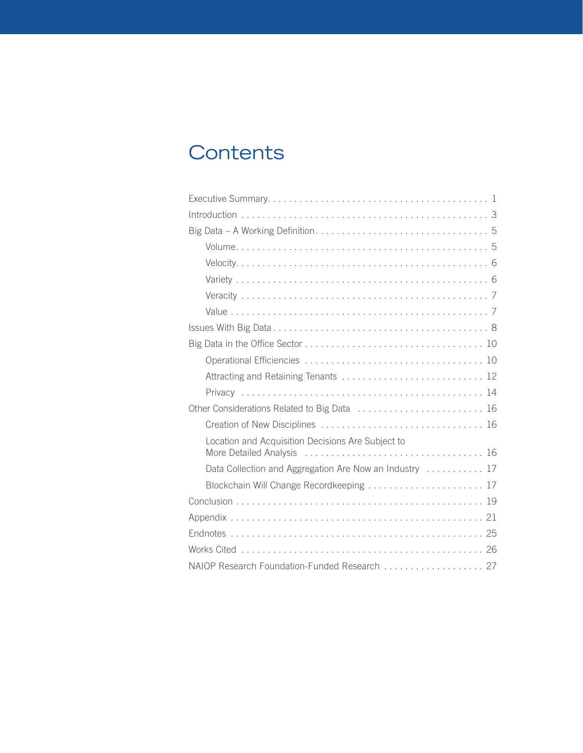# **Contents**

| Other Considerations Related to Big Data  16            |
|---------------------------------------------------------|
|                                                         |
| Location and Acquisition Decisions Are Subject to       |
| Data Collection and Aggregation Are Now an Industry  17 |
| Blockchain Will Change Recordkeeping  17                |
|                                                         |
|                                                         |
|                                                         |
|                                                         |
| NAIOP Research Foundation-Funded Research  27           |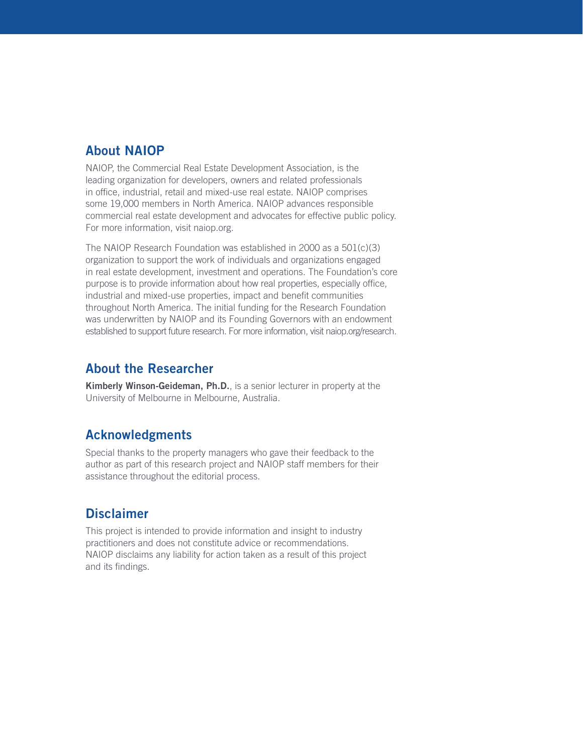### About NAIOP

NAIOP, the Commercial Real Estate Development Association, is the leading organization for developers, owners and related professionals in office, industrial, retail and mixed-use real estate. NAIOP comprises some 19,000 members in North America. NAIOP advances responsible commercial real estate development and advocates for effective public policy. For more information, visit naiop.org.

The NAIOP Research Foundation was established in 2000 as a 501(c)(3) organization to support the work of individuals and organizations engaged in real estate development, investment and operations. The Foundation's core purpose is to provide information about how real properties, especially office, industrial and mixed-use properties, impact and benefit communities throughout North America. The initial funding for the Research Foundation was underwritten by NAIOP and its Founding Governors with an endowment established to support future research. For more information, visit naiop.org/research.

### About the Researcher

Kimberly Winson-Geideman, Ph.D., is a senior lecturer in property at the University of Melbourne in Melbourne, Australia.

### Acknowledgments

Special thanks to the property managers who gave their feedback to the author as part of this research project and NAIOP staff members for their assistance throughout the editorial process.

### **Disclaimer**

This project is intended to provide information and insight to industry practitioners and does not constitute advice or recommendations. NAIOP disclaims any liability for action taken as a result of this project and its findings.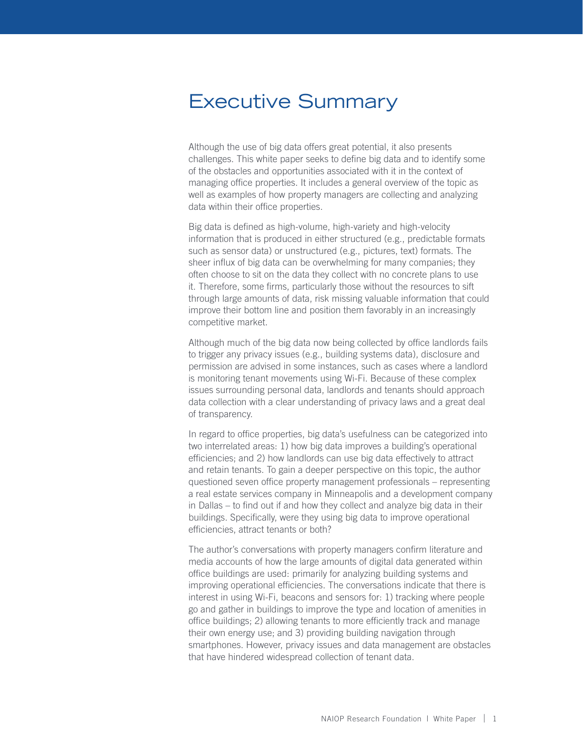### Executive Summary

Although the use of big data offers great potential, it also presents challenges. This white paper seeks to define big data and to identify some of the obstacles and opportunities associated with it in the context of managing office properties. It includes a general overview of the topic as well as examples of how property managers are collecting and analyzing data within their office properties.

Big data is defined as high-volume, high-variety and high-velocity information that is produced in either structured (e.g., predictable formats such as sensor data) or unstructured (e.g., pictures, text) formats. The sheer influx of big data can be overwhelming for many companies; they often choose to sit on the data they collect with no concrete plans to use it. Therefore, some firms, particularly those without the resources to sift through large amounts of data, risk missing valuable information that could improve their bottom line and position them favorably in an increasingly competitive market.

Although much of the big data now being collected by office landlords fails to trigger any privacy issues (e.g., building systems data), disclosure and permission are advised in some instances, such as cases where a landlord is monitoring tenant movements using Wi-Fi. Because of these complex issues surrounding personal data, landlords and tenants should approach data collection with a clear understanding of privacy laws and a great deal of transparency.

In regard to office properties, big data's usefulness can be categorized into two interrelated areas: 1) how big data improves a building's operational efficiencies; and 2) how landlords can use big data effectively to attract and retain tenants. To gain a deeper perspective on this topic, the author questioned seven office property management professionals – representing a real estate services company in Minneapolis and a development company in Dallas – to find out if and how they collect and analyze big data in their buildings. Specifically, were they using big data to improve operational efficiencies, attract tenants or both?

The author's conversations with property managers confirm literature and media accounts of how the large amounts of digital data generated within office buildings are used: primarily for analyzing building systems and improving operational efficiencies. The conversations indicate that there is interest in using Wi-Fi, beacons and sensors for: 1) tracking where people go and gather in buildings to improve the type and location of amenities in office buildings; 2) allowing tenants to more efficiently track and manage their own energy use; and 3) providing building navigation through smartphones. However, privacy issues and data management are obstacles that have hindered widespread collection of tenant data.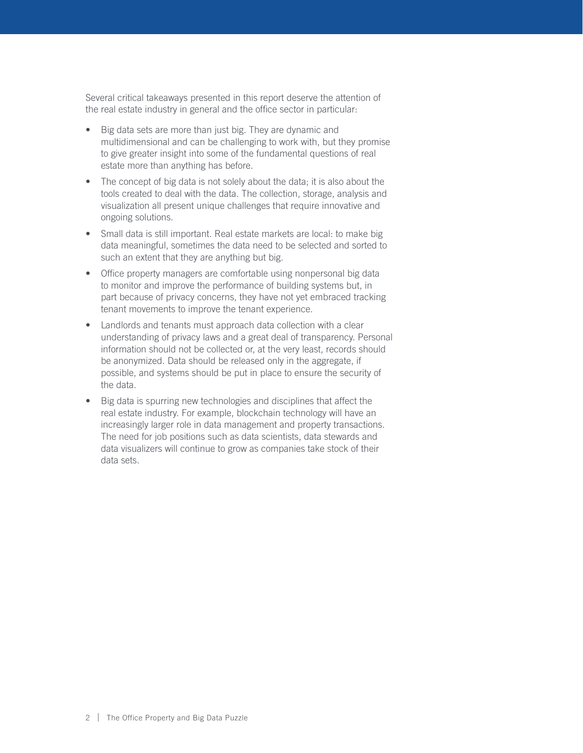Several critical takeaways presented in this report deserve the attention of the real estate industry in general and the office sector in particular:

- Big data sets are more than just big. They are dynamic and multidimensional and can be challenging to work with, but they promise to give greater insight into some of the fundamental questions of real estate more than anything has before.
- The concept of big data is not solely about the data; it is also about the tools created to deal with the data. The collection, storage, analysis and visualization all present unique challenges that require innovative and ongoing solutions.
- Small data is still important. Real estate markets are local: to make big data meaningful, sometimes the data need to be selected and sorted to such an extent that they are anything but big.
- Office property managers are comfortable using nonpersonal big data to monitor and improve the performance of building systems but, in part because of privacy concerns, they have not yet embraced tracking tenant movements to improve the tenant experience.
- Landlords and tenants must approach data collection with a clear understanding of privacy laws and a great deal of transparency. Personal information should not be collected or, at the very least, records should be anonymized. Data should be released only in the aggregate, if possible, and systems should be put in place to ensure the security of the data.
- Big data is spurring new technologies and disciplines that affect the real estate industry. For example, blockchain technology will have an increasingly larger role in data management and property transactions. The need for job positions such as data scientists, data stewards and data visualizers will continue to grow as companies take stock of their data sets.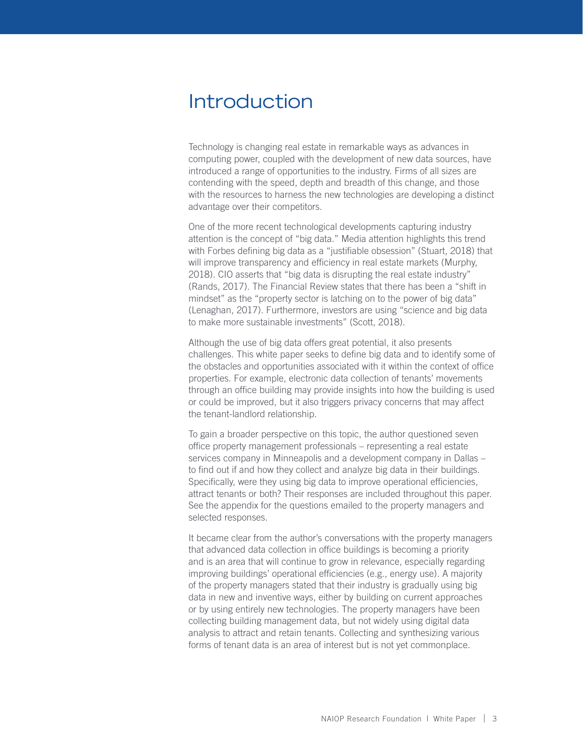### Introduction

Technology is changing real estate in remarkable ways as advances in computing power, coupled with the development of new data sources, have introduced a range of opportunities to the industry. Firms of all sizes are contending with the speed, depth and breadth of this change, and those with the resources to harness the new technologies are developing a distinct advantage over their competitors.

One of the more recent technological developments capturing industry attention is the concept of "big data." Media attention highlights this trend with Forbes defining big data as a "justifiable obsession" (Stuart, 2018) that will improve transparency and efficiency in real estate markets (Murphy, 2018). CIO asserts that "big data is disrupting the real estate industry" (Rands, 2017). The Financial Review states that there has been a "shift in mindset" as the "property sector is latching on to the power of big data" (Lenaghan, 2017). Furthermore, investors are using "science and big data to make more sustainable investments" (Scott, 2018).

Although the use of big data offers great potential, it also presents challenges. This white paper seeks to define big data and to identify some of the obstacles and opportunities associated with it within the context of office properties. For example, electronic data collection of tenants' movements through an office building may provide insights into how the building is used or could be improved, but it also triggers privacy concerns that may affect the tenant-landlord relationship.

To gain a broader perspective on this topic, the author questioned seven office property management professionals – representing a real estate services company in Minneapolis and a development company in Dallas – to find out if and how they collect and analyze big data in their buildings. Specifically, were they using big data to improve operational efficiencies, attract tenants or both? Their responses are included throughout this paper. See the appendix for the questions emailed to the property managers and selected responses.

It became clear from the author's conversations with the property managers that advanced data collection in office buildings is becoming a priority and is an area that will continue to grow in relevance, especially regarding improving buildings' operational efficiencies (e.g., energy use). A majority of the property managers stated that their industry is gradually using big data in new and inventive ways, either by building on current approaches or by using entirely new technologies. The property managers have been collecting building management data, but not widely using digital data analysis to attract and retain tenants. Collecting and synthesizing various forms of tenant data is an area of interest but is not yet commonplace.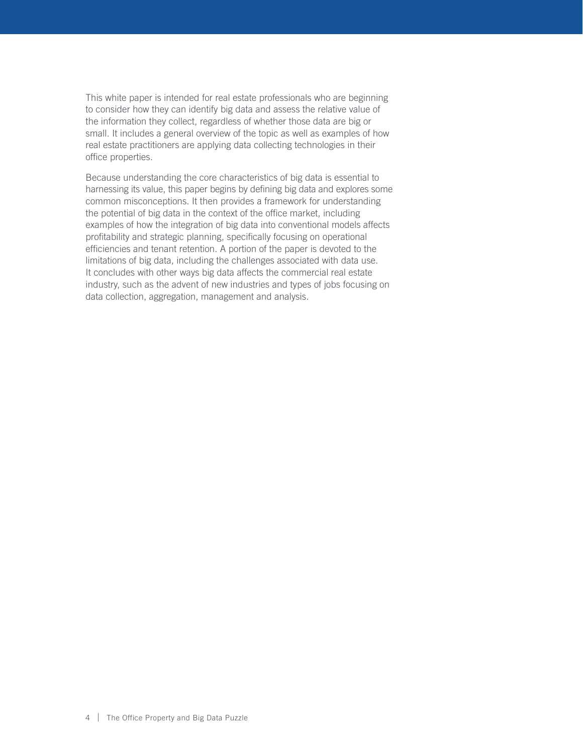This white paper is intended for real estate professionals who are beginning to consider how they can identify big data and assess the relative value of the information they collect, regardless of whether those data are big or small. It includes a general overview of the topic as well as examples of how real estate practitioners are applying data collecting technologies in their office properties.

Because understanding the core characteristics of big data is essential to harnessing its value, this paper begins by defining big data and explores some common misconceptions. It then provides a framework for understanding the potential of big data in the context of the office market, including examples of how the integration of big data into conventional models affects profitability and strategic planning, specifically focusing on operational efficiencies and tenant retention. A portion of the paper is devoted to the limitations of big data, including the challenges associated with data use. It concludes with other ways big data affects the commercial real estate industry, such as the advent of new industries and types of jobs focusing on data collection, aggregation, management and analysis.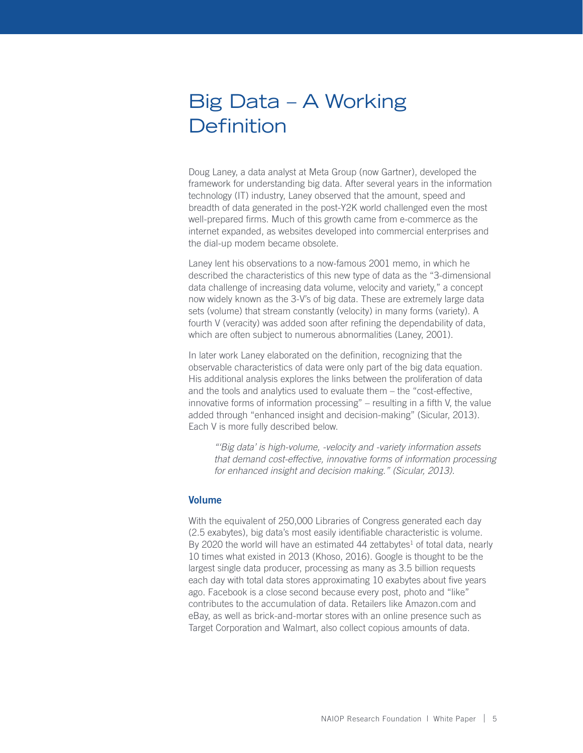# Big Data – A Working Definition

Doug Laney, a data analyst at Meta Group (now Gartner), developed the framework for understanding big data. After several years in the information technology (IT) industry, Laney observed that the amount, speed and breadth of data generated in the post-Y2K world challenged even the most well-prepared firms. Much of this growth came from e-commerce as the internet expanded, as websites developed into commercial enterprises and the dial-up modem became obsolete.

Laney lent his observations to a now-famous 2001 memo, in which he described the characteristics of this new type of data as the "3-dimensional data challenge of increasing data volume, velocity and variety," a concept now widely known as the 3-V's of big data. These are extremely large data sets (volume) that stream constantly (velocity) in many forms (variety). A fourth V (veracity) was added soon after refining the dependability of data, which are often subject to numerous abnormalities (Laney, 2001).

In later work Laney elaborated on the definition, recognizing that the observable characteristics of data were only part of the big data equation. His additional analysis explores the links between the proliferation of data and the tools and analytics used to evaluate them – the "cost-effective, innovative forms of information processing" – resulting in a fifth V, the value added through "enhanced insight and decision-making" (Sicular, 2013). Each V is more fully described below.

*"'Big data' is high-volume, -velocity and -variety information assets that demand cost-effective, innovative forms of information processing for enhanced insight and decision making." (Sicular, 2013).*

### Volume

With the equivalent of 250,000 Libraries of Congress generated each day (2.5 exabytes), big data's most easily identifiable characteristic is volume. By 2020 the world will have an estimated 44 zettabytes $<sup>1</sup>$  of total data, nearly</sup> 10 times what existed in 2013 (Khoso, 2016). Google is thought to be the largest single data producer, processing as many as 3.5 billion requests each day with total data stores approximating 10 exabytes about five years ago. Facebook is a close second because every post, photo and "like" contributes to the accumulation of data. Retailers like Amazon.com and eBay, as well as brick-and-mortar stores with an online presence such as Target Corporation and Walmart, also collect copious amounts of data.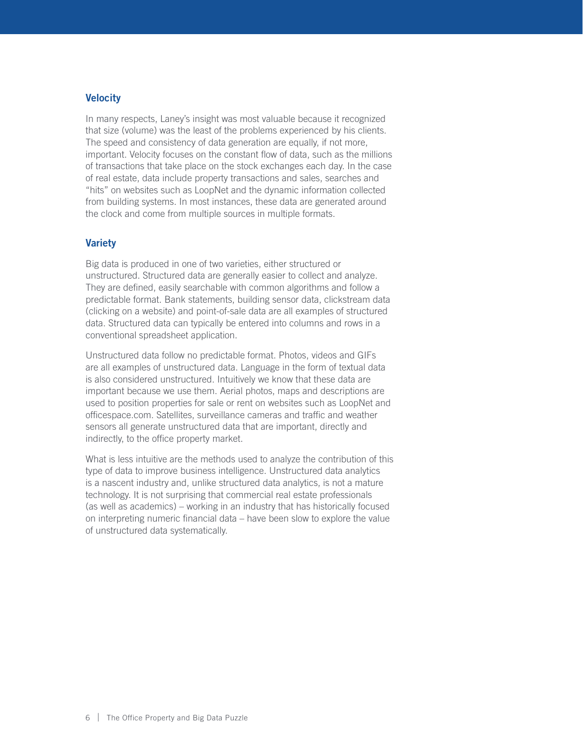#### **Velocity**

In many respects, Laney's insight was most valuable because it recognized that size (volume) was the least of the problems experienced by his clients. The speed and consistency of data generation are equally, if not more, important. Velocity focuses on the constant flow of data, such as the millions of transactions that take place on the stock exchanges each day. In the case of real estate, data include property transactions and sales, searches and "hits" on websites such as LoopNet and the dynamic information collected from building systems. In most instances, these data are generated around the clock and come from multiple sources in multiple formats.

#### Variety

Big data is produced in one of two varieties, either structured or unstructured. Structured data are generally easier to collect and analyze. They are defined, easily searchable with common algorithms and follow a predictable format. Bank statements, building sensor data, clickstream data (clicking on a website) and point-of-sale data are all examples of structured data. Structured data can typically be entered into columns and rows in a conventional spreadsheet application.

Unstructured data follow no predictable format. Photos, videos and GIFs are all examples of unstructured data. Language in the form of textual data is also considered unstructured. Intuitively we know that these data are important because we use them. Aerial photos, maps and descriptions are used to position properties for sale or rent on websites such as LoopNet and officespace.com. Satellites, surveillance cameras and traffic and weather sensors all generate unstructured data that are important, directly and indirectly, to the office property market.

What is less intuitive are the methods used to analyze the contribution of this type of data to improve business intelligence. Unstructured data analytics is a nascent industry and, unlike structured data analytics, is not a mature technology. It is not surprising that commercial real estate professionals (as well as academics) – working in an industry that has historically focused on interpreting numeric financial data – have been slow to explore the value of unstructured data systematically.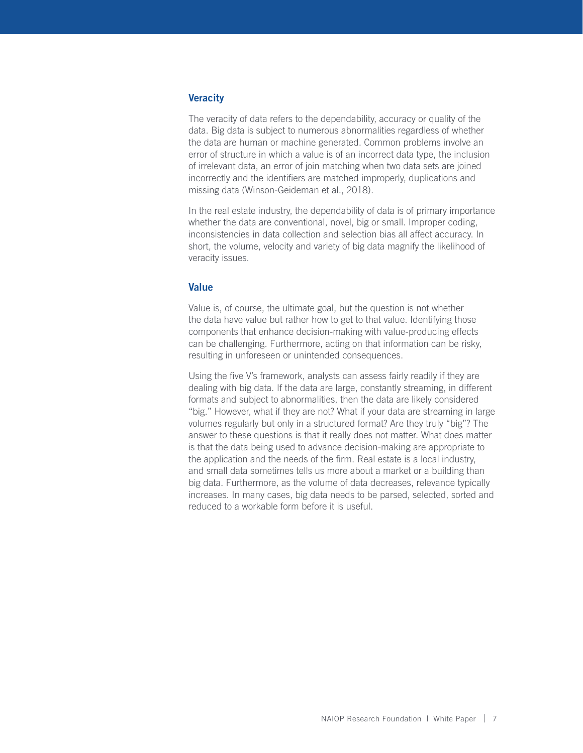#### **Veracity**

The veracity of data refers to the dependability, accuracy or quality of the data. Big data is subject to numerous abnormalities regardless of whether the data are human or machine generated. Common problems involve an error of structure in which a value is of an incorrect data type, the inclusion of irrelevant data, an error of join matching when two data sets are joined incorrectly and the identifiers are matched improperly, duplications and missing data (Winson-Geideman et al., 2018).

In the real estate industry, the dependability of data is of primary importance whether the data are conventional, novel, big or small. Improper coding, inconsistencies in data collection and selection bias all affect accuracy. In short, the volume, velocity and variety of big data magnify the likelihood of veracity issues.

#### Value

Value is, of course, the ultimate goal, but the question is not whether the data have value but rather how to get to that value. Identifying those components that enhance decision-making with value-producing effects can be challenging. Furthermore, acting on that information can be risky, resulting in unforeseen or unintended consequences.

Using the five V's framework, analysts can assess fairly readily if they are dealing with big data. If the data are large, constantly streaming, in different formats and subject to abnormalities, then the data are likely considered "big." However, what if they are not? What if your data are streaming in large volumes regularly but only in a structured format? Are they truly "big"? The answer to these questions is that it really does not matter. What does matter is that the data being used to advance decision-making are appropriate to the application and the needs of the firm. Real estate is a local industry, and small data sometimes tells us more about a market or a building than big data. Furthermore, as the volume of data decreases, relevance typically increases. In many cases, big data needs to be parsed, selected, sorted and reduced to a workable form before it is useful.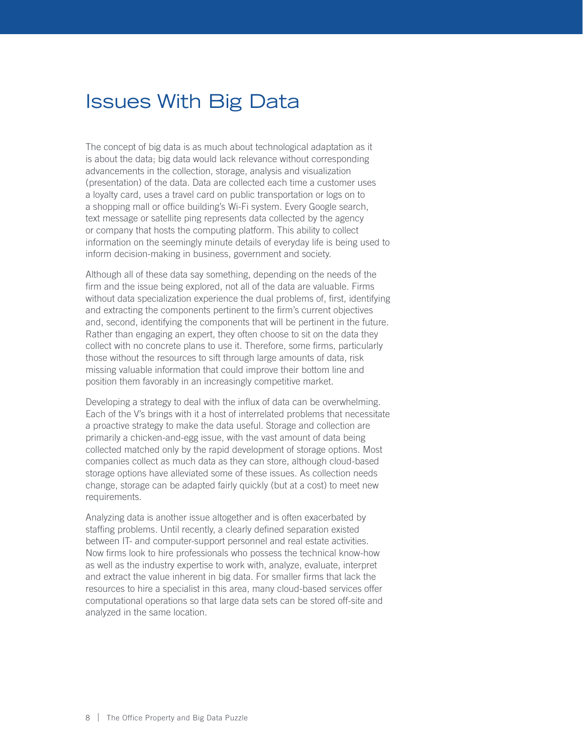### Issues With Big Data

The concept of big data is as much about technological adaptation as it is about the data; big data would lack relevance without corresponding advancements in the collection, storage, analysis and visualization (presentation) of the data. Data are collected each time a customer uses a loyalty card, uses a travel card on public transportation or logs on to a shopping mall or office building's Wi-Fi system. Every Google search, text message or satellite ping represents data collected by the agency or company that hosts the computing platform. This ability to collect information on the seemingly minute details of everyday life is being used to inform decision-making in business, government and society.

Although all of these data say something, depending on the needs of the firm and the issue being explored, not all of the data are valuable. Firms without data specialization experience the dual problems of, first, identifying and extracting the components pertinent to the firm's current objectives and, second, identifying the components that will be pertinent in the future. Rather than engaging an expert, they often choose to sit on the data they collect with no concrete plans to use it. Therefore, some firms, particularly those without the resources to sift through large amounts of data, risk missing valuable information that could improve their bottom line and position them favorably in an increasingly competitive market.

Developing a strategy to deal with the influx of data can be overwhelming. Each of the V's brings with it a host of interrelated problems that necessitate a proactive strategy to make the data useful. Storage and collection are primarily a chicken-and-egg issue, with the vast amount of data being collected matched only by the rapid development of storage options. Most companies collect as much data as they can store, although cloud-based storage options have alleviated some of these issues. As collection needs change, storage can be adapted fairly quickly (but at a cost) to meet new requirements.

Analyzing data is another issue altogether and is often exacerbated by staffing problems. Until recently, a clearly defined separation existed between IT- and computer-support personnel and real estate activities. Now firms look to hire professionals who possess the technical know-how as well as the industry expertise to work with, analyze, evaluate, interpret and extract the value inherent in big data. For smaller firms that lack the resources to hire a specialist in this area, many cloud-based services offer computational operations so that large data sets can be stored off-site and analyzed in the same location.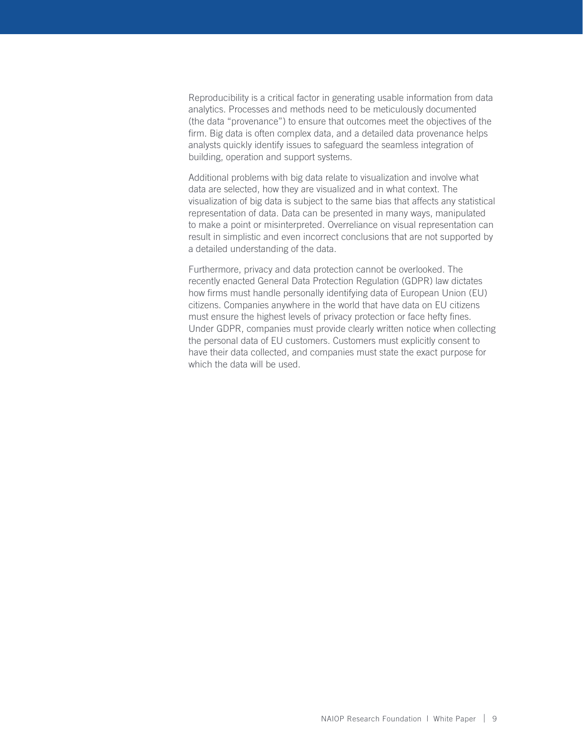Reproducibility is a critical factor in generating usable information from data analytics. Processes and methods need to be meticulously documented (the data "provenance") to ensure that outcomes meet the objectives of the firm. Big data is often complex data, and a detailed data provenance helps analysts quickly identify issues to safeguard the seamless integration of building, operation and support systems.

Additional problems with big data relate to visualization and involve what data are selected, how they are visualized and in what context. The visualization of big data is subject to the same bias that affects any statistical representation of data. Data can be presented in many ways, manipulated to make a point or misinterpreted. Overreliance on visual representation can result in simplistic and even incorrect conclusions that are not supported by a detailed understanding of the data.

Furthermore, privacy and data protection cannot be overlooked. The recently enacted General Data Protection Regulation (GDPR) law dictates how firms must handle personally identifying data of European Union (EU) citizens. Companies anywhere in the world that have data on EU citizens must ensure the highest levels of privacy protection or face hefty fines. Under GDPR, companies must provide clearly written notice when collecting the personal data of EU customers. Customers must explicitly consent to have their data collected, and companies must state the exact purpose for which the data will be used.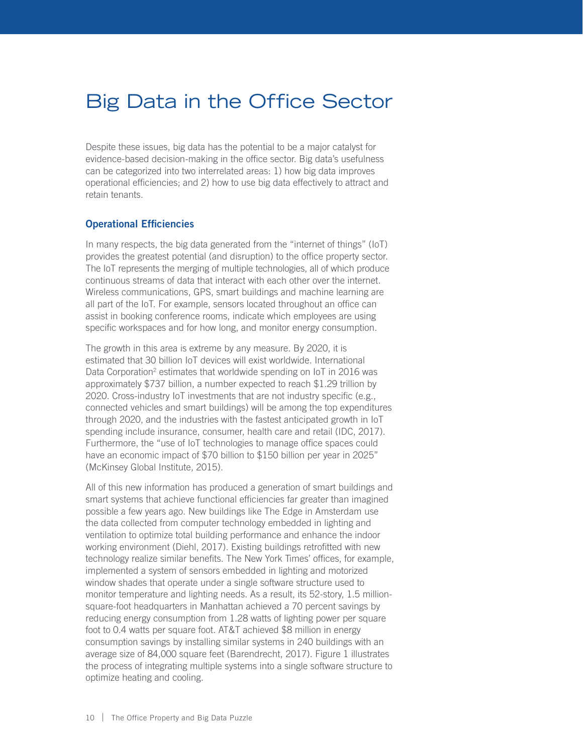## Big Data in the Office Sector

Despite these issues, big data has the potential to be a major catalyst for evidence-based decision-making in the office sector. Big data's usefulness can be categorized into two interrelated areas: 1) how big data improves operational efficiencies; and 2) how to use big data effectively to attract and retain tenants.

#### Operational Efficiencies

In many respects, the big data generated from the "internet of things" (IoT) provides the greatest potential (and disruption) to the office property sector. The IoT represents the merging of multiple technologies, all of which produce continuous streams of data that interact with each other over the internet. Wireless communications, GPS, smart buildings and machine learning are all part of the IoT. For example, sensors located throughout an office can assist in booking conference rooms, indicate which employees are using specific workspaces and for how long, and monitor energy consumption.

The growth in this area is extreme by any measure. By 2020, it is estimated that 30 billion IoT devices will exist worldwide. International Data Corporation<sup>2</sup> estimates that worldwide spending on IoT in 2016 was approximately \$737 billion, a number expected to reach \$1.29 trillion by 2020. Cross-industry IoT investments that are not industry specific (e.g., connected vehicles and smart buildings) will be among the top expenditures through 2020, and the industries with the fastest anticipated growth in IoT spending include insurance, consumer, health care and retail (IDC, 2017). Furthermore, the "use of IoT technologies to manage office spaces could have an economic impact of \$70 billion to \$150 billion per year in 2025" (McKinsey Global Institute, 2015).

All of this new information has produced a generation of smart buildings and smart systems that achieve functional efficiencies far greater than imagined possible a few years ago. New buildings like The Edge in Amsterdam use the data collected from computer technology embedded in lighting and ventilation to optimize total building performance and enhance the indoor working environment (Diehl, 2017). Existing buildings retrofitted with new technology realize similar benefits. The New York Times' offices, for example, implemented a system of sensors embedded in lighting and motorized window shades that operate under a single software structure used to monitor temperature and lighting needs. As a result, its 52-story, 1.5 millionsquare-foot headquarters in Manhattan achieved a 70 percent savings by reducing energy consumption from 1.28 watts of lighting power per square foot to 0.4 watts per square foot. AT&T achieved \$8 million in energy consumption savings by installing similar systems in 240 buildings with an average size of 84,000 square feet (Barendrecht, 2017). Figure 1 illustrates the process of integrating multiple systems into a single software structure to optimize heating and cooling.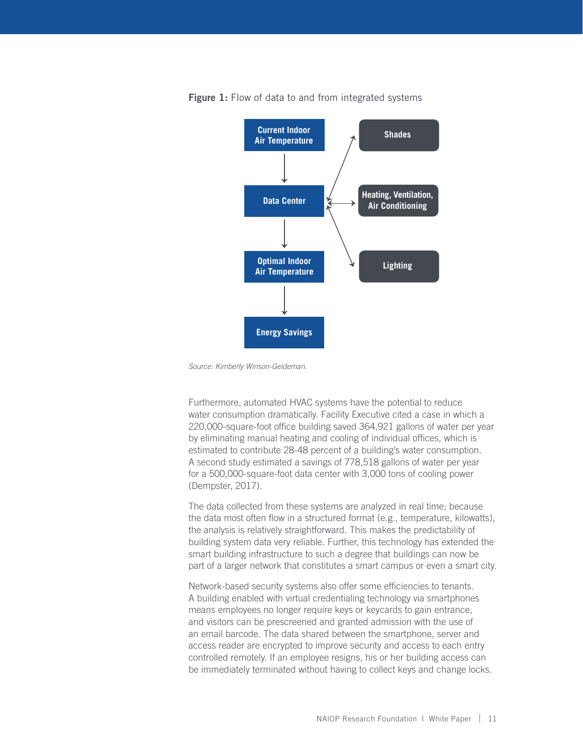

**Figure 1:** Flow of data to and from integrated systems

*Source: Kimberly Winson-Geideman.* 

Furthermore, automated HVAC systems have the potential to reduce water consumption dramatically. Facility Executive cited a case in which a 220,000-square-foot office building saved 364,921 gallons of water per year by eliminating manual heating and cooling of individual offices, which is estimated to contribute 28-48 percent of a building's water consumption. A second study estimated a savings of 778,518 gallons of water per year for a 500,000-square-foot data center with 3,000 tons of cooling power (Dempster, 2017).

The data collected from these systems are analyzed in real time; because the data most often flow in a structured format (e.g., temperature, kilowatts), the analysis is relatively straightforward. This makes the predictability of building system data very reliable. Further, this technology has extended the smart building infrastructure to such a degree that buildings can now be part of a larger network that constitutes a smart campus or even a smart city.

Network-based security systems also offer some efficiencies to tenants. A building enabled with virtual credentialing technology via smartphones means employees no longer require keys or keycards to gain entrance, and visitors can be prescreened and granted admission with the use of an email barcode. The data shared between the smartphone, server and access reader are encrypted to improve security and access to each entry controlled remotely. If an employee resigns, his or her building access can be immediately terminated without having to collect keys and change locks.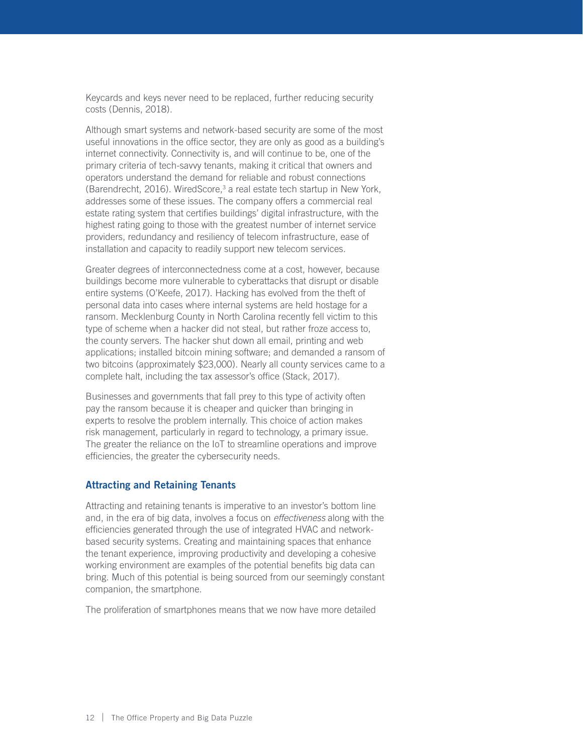Keycards and keys never need to be replaced, further reducing security costs (Dennis, 2018).

Although smart systems and network-based security are some of the most useful innovations in the office sector, they are only as good as a building's internet connectivity. Connectivity is, and will continue to be, one of the primary criteria of tech-savvy tenants, making it critical that owners and operators understand the demand for reliable and robust connections (Barendrecht, 2016). WiredScore,<sup>3</sup> a real estate tech startup in New York, addresses some of these issues. The company offers a commercial real estate rating system that certifies buildings' digital infrastructure, with the highest rating going to those with the greatest number of internet service providers, redundancy and resiliency of telecom infrastructure, ease of installation and capacity to readily support new telecom services.

Greater degrees of interconnectedness come at a cost, however, because buildings become more vulnerable to cyberattacks that disrupt or disable entire systems (O'Keefe, 2017). Hacking has evolved from the theft of personal data into cases where internal systems are held hostage for a ransom. Mecklenburg County in North Carolina recently fell victim to this type of scheme when a hacker did not steal, but rather froze access to, the county servers. The hacker shut down all email, printing and web applications; installed bitcoin mining software; and demanded a ransom of two bitcoins (approximately \$23,000). Nearly all county services came to a complete halt, including the tax assessor's office (Stack, 2017).

Businesses and governments that fall prey to this type of activity often pay the ransom because it is cheaper and quicker than bringing in experts to resolve the problem internally. This choice of action makes risk management, particularly in regard to technology, a primary issue. The greater the reliance on the IoT to streamline operations and improve efficiencies, the greater the cybersecurity needs.

### Attracting and Retaining Tenants

Attracting and retaining tenants is imperative to an investor's bottom line and, in the era of big data, involves a focus on *effectiveness* along with the efficiencies generated through the use of integrated HVAC and networkbased security systems. Creating and maintaining spaces that enhance the tenant experience, improving productivity and developing a cohesive working environment are examples of the potential benefits big data can bring. Much of this potential is being sourced from our seemingly constant companion, the smartphone.

The proliferation of smartphones means that we now have more detailed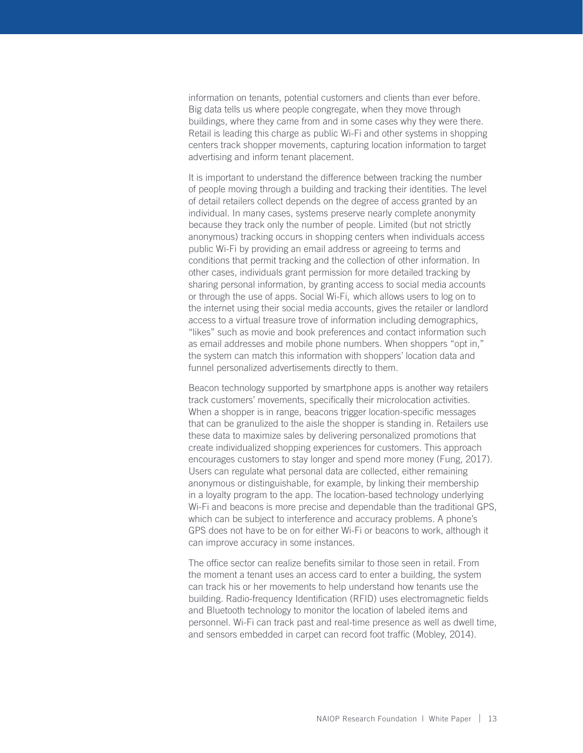information on tenants, potential customers and clients than ever before. Big data tells us where people congregate, when they move through buildings, where they came from and in some cases why they were there. Retail is leading this charge as public Wi-Fi and other systems in shopping centers track shopper movements, capturing location information to target advertising and inform tenant placement.

It is important to understand the difference between tracking the number of people moving through a building and tracking their identities. The level of detail retailers collect depends on the degree of access granted by an individual. In many cases, systems preserve nearly complete anonymity because they track only the number of people. Limited (but not strictly anonymous) tracking occurs in shopping centers when individuals access public Wi-Fi by providing an email address or agreeing to terms and conditions that permit tracking and the collection of other information. In other cases, individuals grant permission for more detailed tracking by sharing personal information, by granting access to social media accounts or through the use of apps. Social Wi-Fi, which allows users to log on to the internet using their social media accounts, gives the retailer or landlord access to a virtual treasure trove of information including demographics, "likes" such as movie and book preferences and contact information such as email addresses and mobile phone numbers. When shoppers "opt in," the system can match this information with shoppers' location data and funnel personalized advertisements directly to them.

Beacon technology supported by smartphone apps is another way retailers track customers' movements, specifically their microlocation activities. When a shopper is in range, beacons trigger location-specific messages that can be granulized to the aisle the shopper is standing in. Retailers use these data to maximize sales by delivering personalized promotions that create individualized shopping experiences for customers. This approach encourages customers to stay longer and spend more money (Fung, 2017). Users can regulate what personal data are collected, either remaining anonymous or distinguishable, for example, by linking their membership in a loyalty program to the app. The location-based technology underlying Wi-Fi and beacons is more precise and dependable than the traditional GPS, which can be subject to interference and accuracy problems. A phone's GPS does not have to be on for either Wi-Fi or beacons to work, although it can improve accuracy in some instances.

The office sector can realize benefits similar to those seen in retail. From the moment a tenant uses an access card to enter a building, the system can track his or her movements to help understand how tenants use the building. Radio-frequency Identification (RFID) uses electromagnetic fields and Bluetooth technology to monitor the location of labeled items and personnel. Wi-Fi can track past and real-time presence as well as dwell time, and sensors embedded in carpet can record foot traffic (Mobley, 2014).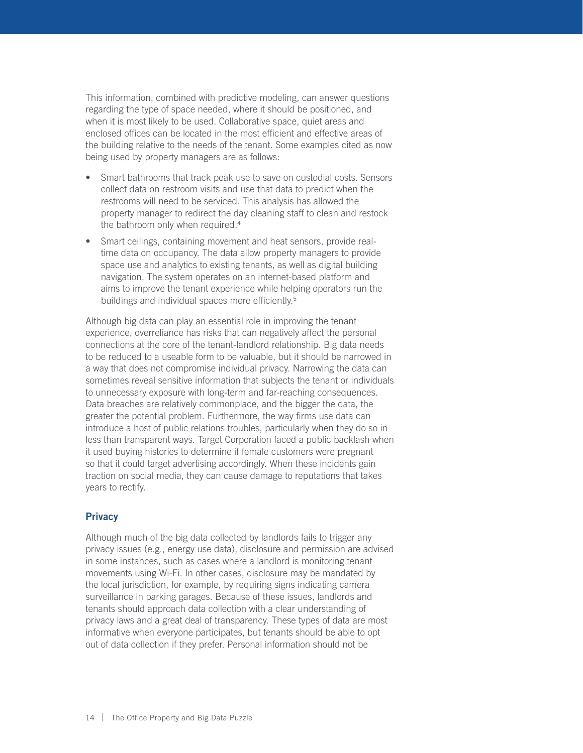This information, combined with predictive modeling, can answer questions regarding the type of space needed, where it should be positioned, and when it is most likely to be used. Collaborative space, quiet areas and enclosed offices can be located in the most efficient and effective areas of the building relative to the needs of the tenant. Some examples cited as now being used by property managers are as follows:

- Smart bathrooms that track peak use to save on custodial costs. Sensors collect data on restroom visits and use that data to predict when the restrooms will need to be serviced. This analysis has allowed the property manager to redirect the day cleaning staff to clean and restock the bathroom only when required.<sup>4</sup>
- Smart ceilings, containing movement and heat sensors, provide realtime data on occupancy. The data allow property managers to provide space use and analytics to existing tenants, as well as digital building navigation. The system operates on an internet-based platform and aims to improve the tenant experience while helping operators run the buildings and individual spaces more efficiently.<sup>5</sup>

Although big data can play an essential role in improving the tenant experience, overreliance has risks that can negatively affect the personal connections at the core of the tenant-landlord relationship. Big data needs to be reduced to a useable form to be valuable, but it should be narrowed in a way that does not compromise individual privacy. Narrowing the data can sometimes reveal sensitive information that subjects the tenant or individuals to unnecessary exposure with long-term and far-reaching consequences. Data breaches are relatively commonplace, and the bigger the data, the greater the potential problem. Furthermore, the way firms use data can introduce a host of public relations troubles, particularly when they do so in less than transparent ways. Target Corporation faced a public backlash when it used buying histories to determine if female customers were pregnant so that it could target advertising accordingly. When these incidents gain traction on social media, they can cause damage to reputations that takes years to rectify.

### **Privacy**

Although much of the big data collected by landlords fails to trigger any privacy issues (e.g., energy use data), disclosure and permission are advised in some instances, such as cases where a landlord is monitoring tenant movements using Wi-Fi. In other cases, disclosure may be mandated by the local jurisdiction, for example, by requiring signs indicating camera surveillance in parking garages. Because of these issues, landlords and tenants should approach data collection with a clear understanding of privacy laws and a great deal of transparency. These types of data are most informative when everyone participates, but tenants should be able to opt out of data collection if they prefer. Personal information should not be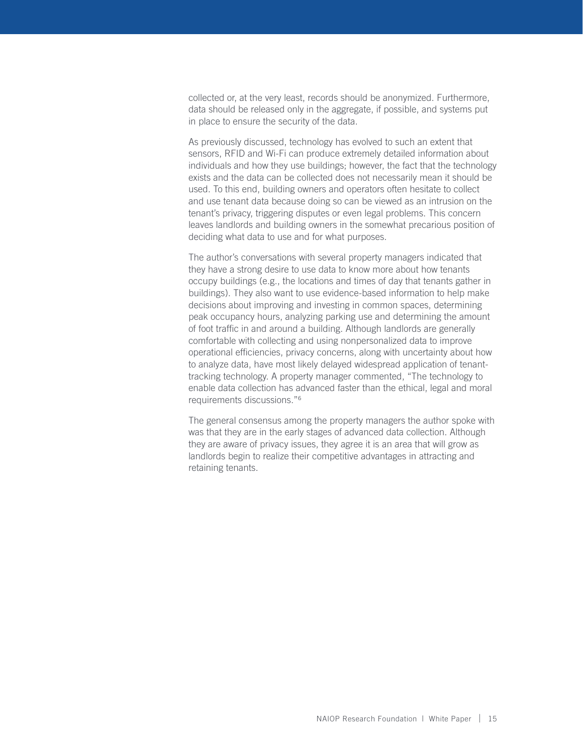collected or, at the very least, records should be anonymized. Furthermore, data should be released only in the aggregate, if possible, and systems put in place to ensure the security of the data.

As previously discussed, technology has evolved to such an extent that sensors, RFID and Wi-Fi can produce extremely detailed information about individuals and how they use buildings; however, the fact that the technology exists and the data can be collected does not necessarily mean it should be used. To this end, building owners and operators often hesitate to collect and use tenant data because doing so can be viewed as an intrusion on the tenant's privacy, triggering disputes or even legal problems. This concern leaves landlords and building owners in the somewhat precarious position of deciding what data to use and for what purposes.

The author's conversations with several property managers indicated that they have a strong desire to use data to know more about how tenants occupy buildings (e.g., the locations and times of day that tenants gather in buildings). They also want to use evidence-based information to help make decisions about improving and investing in common spaces, determining peak occupancy hours, analyzing parking use and determining the amount of foot traffic in and around a building. Although landlords are generally comfortable with collecting and using nonpersonalized data to improve operational efficiencies, privacy concerns, along with uncertainty about how to analyze data, have most likely delayed widespread application of tenanttracking technology. A property manager commented, "The technology to enable data collection has advanced faster than the ethical, legal and moral requirements discussions."<sup>6</sup>

The general consensus among the property managers the author spoke with was that they are in the early stages of advanced data collection. Although they are aware of privacy issues, they agree it is an area that will grow as landlords begin to realize their competitive advantages in attracting and retaining tenants.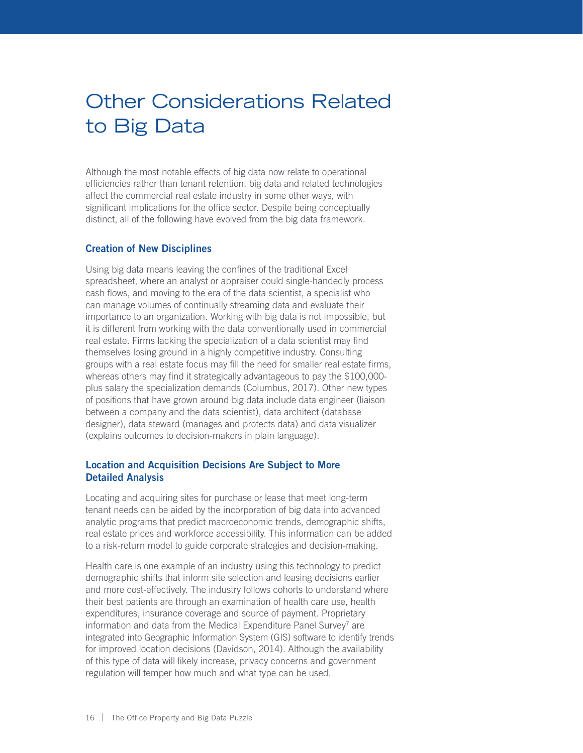# Other Considerations Related to Big Data

Although the most notable effects of big data now relate to operational efficiencies rather than tenant retention, big data and related technologies affect the commercial real estate industry in some other ways, with significant implications for the office sector. Despite being conceptually distinct, all of the following have evolved from the big data framework.

#### Creation of New Disciplines

Using big data means leaving the confines of the traditional Excel spreadsheet, where an analyst or appraiser could single-handedly process cash flows, and moving to the era of the data scientist, a specialist who can manage volumes of continually streaming data and evaluate their importance to an organization. Working with big data is not impossible, but it is different from working with the data conventionally used in commercial real estate. Firms lacking the specialization of a data scientist may find themselves losing ground in a highly competitive industry. Consulting groups with a real estate focus may fill the need for smaller real estate firms, whereas others may find it strategically advantageous to pay the \$100,000 plus salary the specialization demands (Columbus, 2017). Other new types of positions that have grown around big data include data engineer (liaison between a company and the data scientist), data architect (database designer), data steward (manages and protects data) and data visualizer (explains outcomes to decision-makers in plain language).

### Location and Acquisition Decisions Are Subject to More Detailed Analysis

Locating and acquiring sites for purchase or lease that meet long-term tenant needs can be aided by the incorporation of big data into advanced analytic programs that predict macroeconomic trends, demographic shifts, real estate prices and workforce accessibility. This information can be added to a risk-return model to guide corporate strategies and decision-making.

Health care is one example of an industry using this technology to predict demographic shifts that inform site selection and leasing decisions earlier and more cost-effectively. The industry follows cohorts to understand where their best patients are through an examination of health care use, health expenditures, insurance coverage and source of payment. Proprietary information and data from the Medical Expenditure Panel Survey<sup>7</sup> are integrated into Geographic Information System (GIS) software to identify trends for improved location decisions (Davidson, 2014). Although the availability of this type of data will likely increase, privacy concerns and government regulation will temper how much and what type can be used.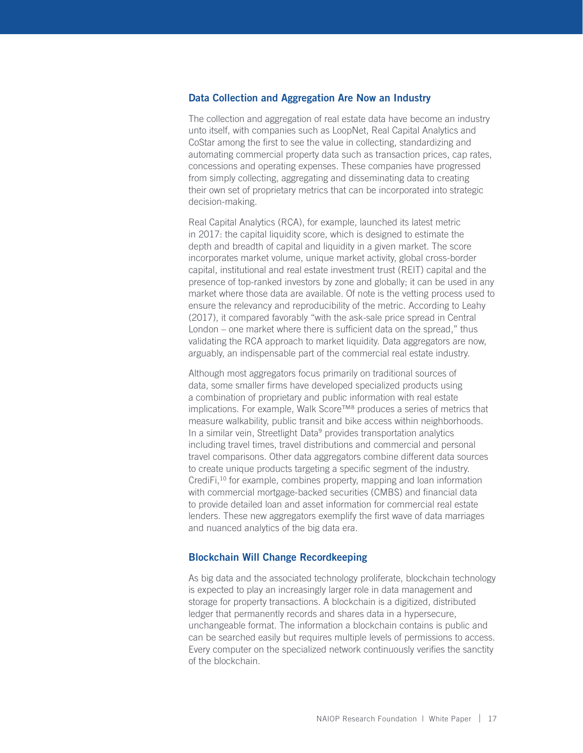#### Data Collection and Aggregation Are Now an Industry

The collection and aggregation of real estate data have become an industry unto itself, with companies such as LoopNet, Real Capital Analytics and CoStar among the first to see the value in collecting, standardizing and automating commercial property data such as transaction prices, cap rates, concessions and operating expenses. These companies have progressed from simply collecting, aggregating and disseminating data to creating their own set of proprietary metrics that can be incorporated into strategic decision-making.

Real Capital Analytics (RCA), for example, launched its latest metric in 2017: the capital liquidity score, which is designed to estimate the depth and breadth of capital and liquidity in a given market. The score incorporates market volume, unique market activity, global cross-border capital, institutional and real estate investment trust (REIT) capital and the presence of top-ranked investors by zone and globally; it can be used in any market where those data are available. Of note is the vetting process used to ensure the relevancy and reproducibility of the metric. According to Leahy (2017), it compared favorably "with the ask-sale price spread in Central London – one market where there is sufficient data on the spread," thus validating the RCA approach to market liquidity. Data aggregators are now, arguably, an indispensable part of the commercial real estate industry.

Although most aggregators focus primarily on traditional sources of data, some smaller firms have developed specialized products using a combination of proprietary and public information with real estate implications. For example, Walk Score™8 produces a series of metrics that measure walkability, public transit and bike access within neighborhoods. In a similar vein, Streetlight Data<sup>9</sup> provides transportation analytics including travel times, travel distributions and commercial and personal travel comparisons. Other data aggregators combine different data sources to create unique products targeting a specific segment of the industry. CrediFi,<sup>10</sup> for example, combines property, mapping and loan information with commercial mortgage-backed securities (CMBS) and financial data to provide detailed loan and asset information for commercial real estate lenders. These new aggregators exemplify the first wave of data marriages and nuanced analytics of the big data era.

#### Blockchain Will Change Recordkeeping

As big data and the associated technology proliferate, blockchain technology is expected to play an increasingly larger role in data management and storage for property transactions. A blockchain is a digitized, distributed ledger that permanently records and shares data in a hypersecure, unchangeable format. The information a blockchain contains is public and can be searched easily but requires multiple levels of permissions to access. Every computer on the specialized network continuously verifies the sanctity of the blockchain.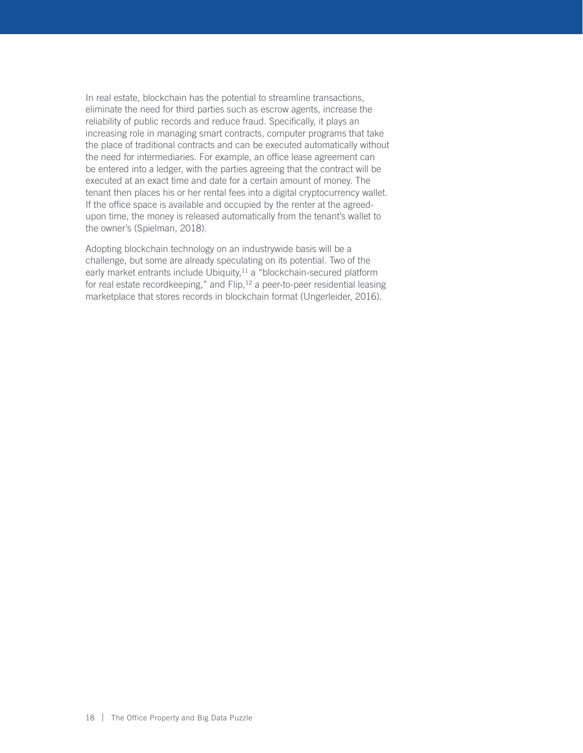In real estate, blockchain has the potential to streamline transactions, eliminate the need for third parties such as escrow agents, increase the reliability of public records and reduce fraud. Specifically, it plays an increasing role in managing smart contracts, computer programs that take the place of traditional contracts and can be executed automatically without the need for intermediaries. For example, an office lease agreement can be entered into a ledger, with the parties agreeing that the contract will be executed at an exact time and date for a certain amount of money. The tenant then places his or her rental fees into a digital cryptocurrency wallet. If the office space is available and occupied by the renter at the agreedupon time, the money is released automatically from the tenant's wallet to the owner's (Spielman, 2018).

Adopting blockchain technology on an industrywide basis will be a challenge, but some are already speculating on its potential. Two of the early market entrants include Ubiquity, $11$  a "blockchain-secured platform for real estate recordkeeping," and  $Flip$ ,  $12$  a peer-to-peer residential leasing marketplace that stores records in blockchain format (Ungerleider, 2016).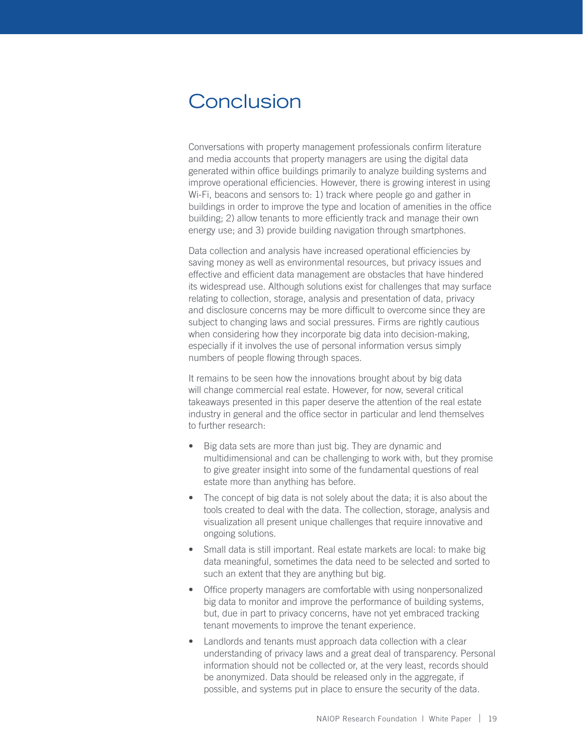### Conclusion

Conversations with property management professionals confirm literature and media accounts that property managers are using the digital data generated within office buildings primarily to analyze building systems and improve operational efficiencies. However, there is growing interest in using Wi-Fi, beacons and sensors to: 1) track where people go and gather in buildings in order to improve the type and location of amenities in the office building; 2) allow tenants to more efficiently track and manage their own energy use; and 3) provide building navigation through smartphones.

Data collection and analysis have increased operational efficiencies by saving money as well as environmental resources, but privacy issues and effective and efficient data management are obstacles that have hindered its widespread use. Although solutions exist for challenges that may surface relating to collection, storage, analysis and presentation of data, privacy and disclosure concerns may be more difficult to overcome since they are subject to changing laws and social pressures. Firms are rightly cautious when considering how they incorporate big data into decision-making, especially if it involves the use of personal information versus simply numbers of people flowing through spaces.

It remains to be seen how the innovations brought about by big data will change commercial real estate. However, for now, several critical takeaways presented in this paper deserve the attention of the real estate industry in general and the office sector in particular and lend themselves to further research:

- Big data sets are more than just big. They are dynamic and multidimensional and can be challenging to work with, but they promise to give greater insight into some of the fundamental questions of real estate more than anything has before.
- The concept of big data is not solely about the data; it is also about the tools created to deal with the data. The collection, storage, analysis and visualization all present unique challenges that require innovative and ongoing solutions.
- Small data is still important. Real estate markets are local: to make big data meaningful, sometimes the data need to be selected and sorted to such an extent that they are anything but big.
- Office property managers are comfortable with using nonpersonalized big data to monitor and improve the performance of building systems, but, due in part to privacy concerns, have not yet embraced tracking tenant movements to improve the tenant experience.
- Landlords and tenants must approach data collection with a clear understanding of privacy laws and a great deal of transparency. Personal information should not be collected or, at the very least, records should be anonymized. Data should be released only in the aggregate, if possible, and systems put in place to ensure the security of the data.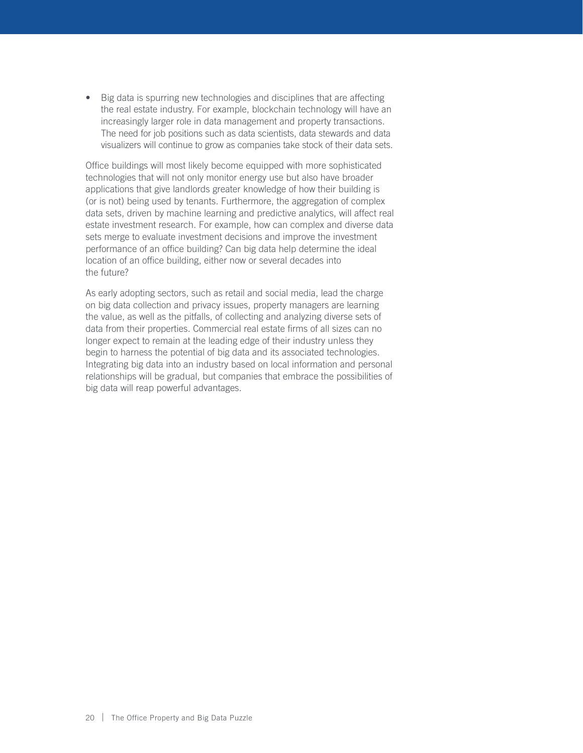• Big data is spurring new technologies and disciplines that are affecting the real estate industry. For example, blockchain technology will have an increasingly larger role in data management and property transactions. The need for job positions such as data scientists, data stewards and data visualizers will continue to grow as companies take stock of their data sets.

Office buildings will most likely become equipped with more sophisticated technologies that will not only monitor energy use but also have broader applications that give landlords greater knowledge of how their building is (or is not) being used by tenants. Furthermore, the aggregation of complex data sets, driven by machine learning and predictive analytics, will affect real estate investment research. For example, how can complex and diverse data sets merge to evaluate investment decisions and improve the investment performance of an office building? Can big data help determine the ideal location of an office building, either now or several decades into the future?

As early adopting sectors, such as retail and social media, lead the charge on big data collection and privacy issues, property managers are learning the value, as well as the pitfalls, of collecting and analyzing diverse sets of data from their properties. Commercial real estate firms of all sizes can no longer expect to remain at the leading edge of their industry unless they begin to harness the potential of big data and its associated technologies. Integrating big data into an industry based on local information and personal relationships will be gradual, but companies that embrace the possibilities of big data will reap powerful advantages.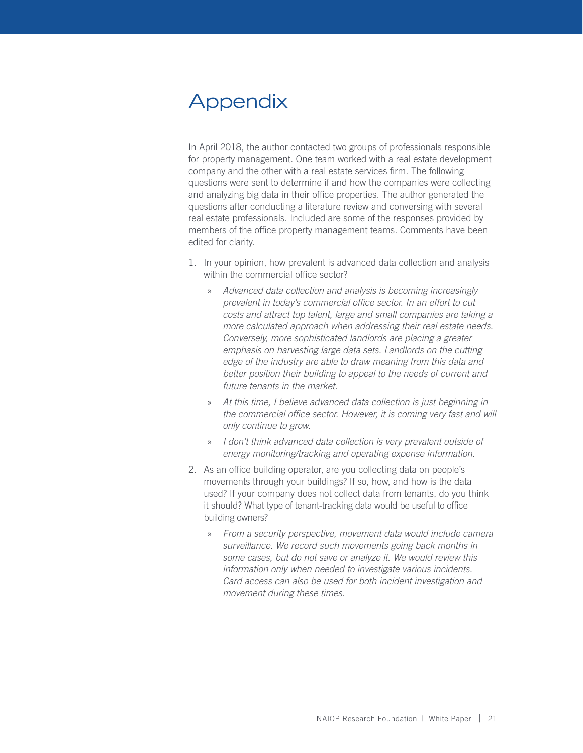### **Appendix**

In April 2018, the author contacted two groups of professionals responsible for property management. One team worked with a real estate development company and the other with a real estate services firm. The following questions were sent to determine if and how the companies were collecting and analyzing big data in their office properties. The author generated the questions after conducting a literature review and conversing with several real estate professionals. Included are some of the responses provided by members of the office property management teams. Comments have been edited for clarity.

- 1. In your opinion, how prevalent is advanced data collection and analysis within the commercial office sector?
	- » *Advanced data collection and analysis is becoming increasingly prevalent in today's commercial office sector. In an effort to cut costs and attract top talent, large and small companies are taking a more calculated approach when addressing their real estate needs. Conversely, more sophisticated landlords are placing a greater emphasis on harvesting large data sets. Landlords on the cutting edge of the industry are able to draw meaning from this data and better position their building to appeal to the needs of current and future tenants in the market.*
	- » *At this time, I believe advanced data collection is just beginning in the commercial office sector. However, it is coming very fast and will only continue to grow.*
	- » *I don't think advanced data collection is very prevalent outside of energy monitoring/tracking and operating expense information.*
- 2. As an office building operator, are you collecting data on people's movements through your buildings? If so, how, and how is the data used? If your company does not collect data from tenants, do you think it should? What type of tenant-tracking data would be useful to office building owners?
	- » *From a security perspective, movement data would include camera surveillance. We record such movements going back months in some cases, but do not save or analyze it. We would review this information only when needed to investigate various incidents. Card access can also be used for both incident investigation and movement during these times.*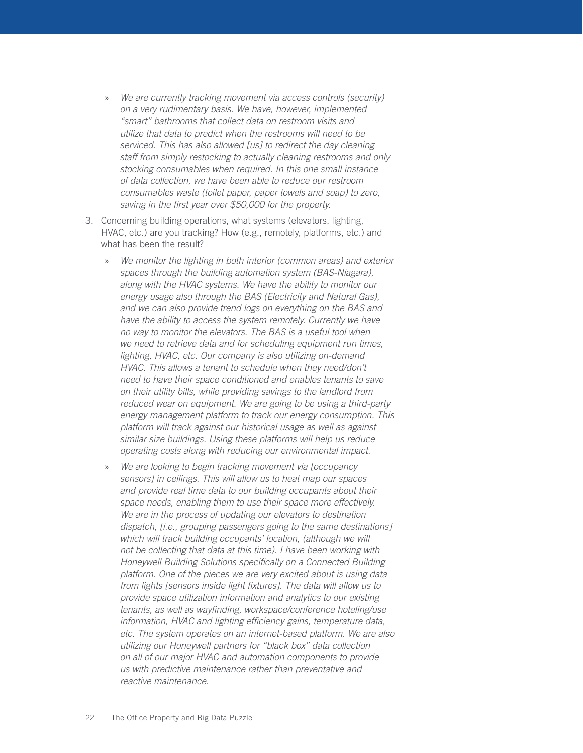- » *We are currently tracking movement via access controls (security) on a very rudimentary basis. We have, however, implemented "smart" bathrooms that collect data on restroom visits and utilize that data to predict when the restrooms will need to be serviced. This has also allowed [us] to redirect the day cleaning staff from simply restocking to actually cleaning restrooms and only stocking consumables when required. In this one small instance of data collection, we have been able to reduce our restroom consumables waste (toilet paper, paper towels and soap) to zero, saving in the first year over \$50,000 for the property.*
- 3. Concerning building operations, what systems (elevators, lighting, HVAC, etc.) are you tracking? How (e.g., remotely, platforms, etc.) and what has been the result?
	- » *We monitor the lighting in both interior (common areas) and exterior spaces through the building automation system (BAS-Niagara), along with the HVAC systems. We have the ability to monitor our energy usage also through the BAS (Electricity and Natural Gas), and we can also provide trend logs on everything on the BAS and have the ability to access the system remotely. Currently we have no way to monitor the elevators. The BAS is a useful tool when we need to retrieve data and for scheduling equipment run times, lighting, HVAC, etc. Our company is also utilizing on-demand HVAC. This allows a tenant to schedule when they need/don't need to have their space conditioned and enables tenants to save on their utility bills, while providing savings to the landlord from reduced wear on equipment. We are going to be using a third-party energy management platform to track our energy consumption. This platform will track against our historical usage as well as against similar size buildings. Using these platforms will help us reduce operating costs along with reducing our environmental impact.*
	- » *We are looking to begin tracking movement via [occupancy sensors] in ceilings. This will allow us to heat map our spaces and provide real time data to our building occupants about their space needs, enabling them to use their space more effectively. We are in the process of updating our elevators to destination dispatch, [i.e., grouping passengers going to the same destinations] which will track building occupants' location, (although we will not be collecting that data at this time). I have been working with Honeywell Building Solutions specifically on a Connected Building platform. One of the pieces we are very excited about is using data from lights [sensors inside light fixtures]. The data will allow us to provide space utilization information and analytics to our existing tenants, as well as wayfinding, workspace/conference hoteling/use information, HVAC and lighting efficiency gains, temperature data, etc. The system operates on an internet-based platform. We are also utilizing our Honeywell partners for "black box" data collection on all of our major HVAC and automation components to provide us with predictive maintenance rather than preventative and reactive maintenance.*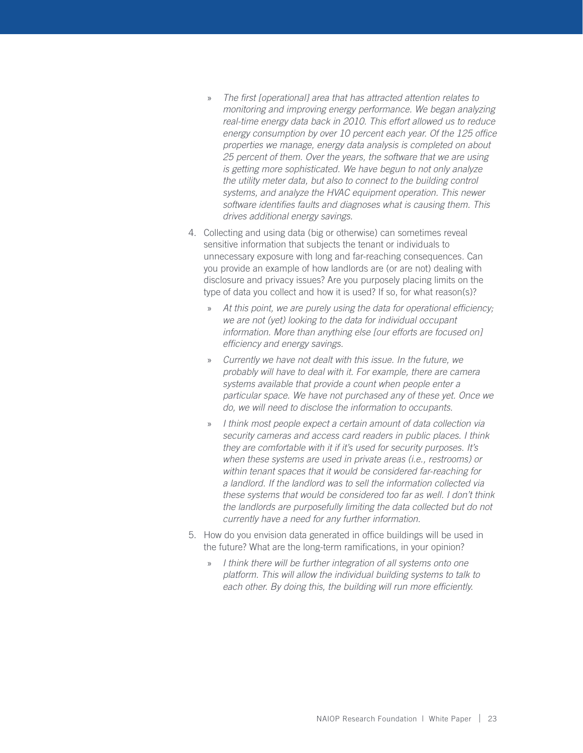- » *The first [operational] area that has attracted attention relates to monitoring and improving energy performance. We began analyzing real-time energy data back in 2010. This effort allowed us to reduce energy consumption by over 10 percent each year. Of the 125 office properties we manage, energy data analysis is completed on about 25 percent of them. Over the years, the software that we are using is getting more sophisticated. We have begun to not only analyze the utility meter data, but also to connect to the building control systems, and analyze the HVAC equipment operation. This newer software identifies faults and diagnoses what is causing them. This drives additional energy savings.*
- 4. Collecting and using data (big or otherwise) can sometimes reveal sensitive information that subjects the tenant or individuals to unnecessary exposure with long and far-reaching consequences. Can you provide an example of how landlords are (or are not) dealing with disclosure and privacy issues? Are you purposely placing limits on the type of data you collect and how it is used? If so, for what reason(s)?
	- » *At this point, we are purely using the data for operational efficiency; we are not (yet) looking to the data for individual occupant information. More than anything else [our efforts are focused on] efficiency and energy savings.*
	- » *Currently we have not dealt with this issue. In the future, we probably will have to deal with it. For example, there are camera systems available that provide a count when people enter a particular space. We have not purchased any of these yet. Once we do, we will need to disclose the information to occupants.*
	- » *I think most people expect a certain amount of data collection via security cameras and access card readers in public places. I think they are comfortable with it if it's used for security purposes. It's when these systems are used in private areas (i.e., restrooms) or within tenant spaces that it would be considered far-reaching for a landlord. If the landlord was to sell the information collected via these systems that would be considered too far as well. I don't think the landlords are purposefully limiting the data collected but do not currently have a need for any further information.*
- 5. How do you envision data generated in office buildings will be used in the future? What are the long-term ramifications, in your opinion?
	- » *I think there will be further integration of all systems onto one platform. This will allow the individual building systems to talk to each other. By doing this, the building will run more efficiently.*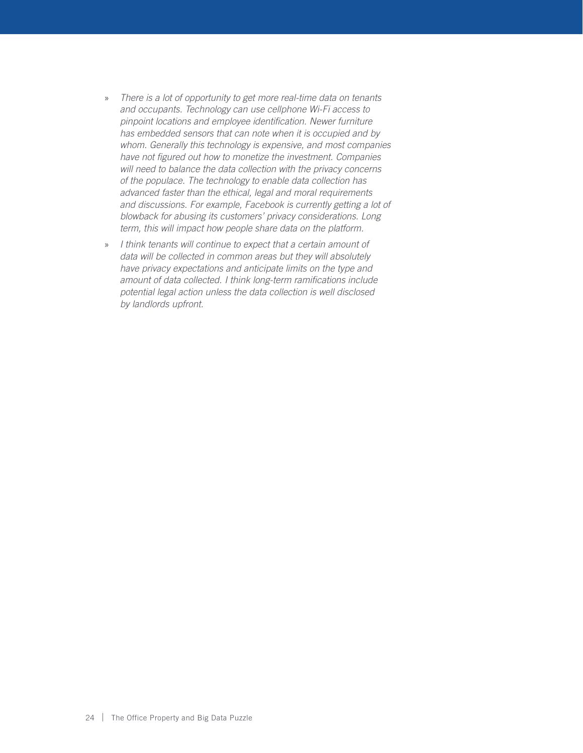- » *There is a lot of opportunity to get more real-time data on tenants and occupants. Technology can use cellphone Wi-Fi access to pinpoint locations and employee identification. Newer furniture has embedded sensors that can note when it is occupied and by whom. Generally this technology is expensive, and most companies have not figured out how to monetize the investment. Companies will need to balance the data collection with the privacy concerns of the populace. The technology to enable data collection has advanced faster than the ethical, legal and moral requirements and discussions. For example, Facebook is currently getting a lot of blowback for abusing its customers' privacy considerations. Long term, this will impact how people share data on the platform.*
- » *I think tenants will continue to expect that a certain amount of data will be collected in common areas but they will absolutely have privacy expectations and anticipate limits on the type and amount of data collected. I think long-term ramifications include potential legal action unless the data collection is well disclosed by landlords upfront.*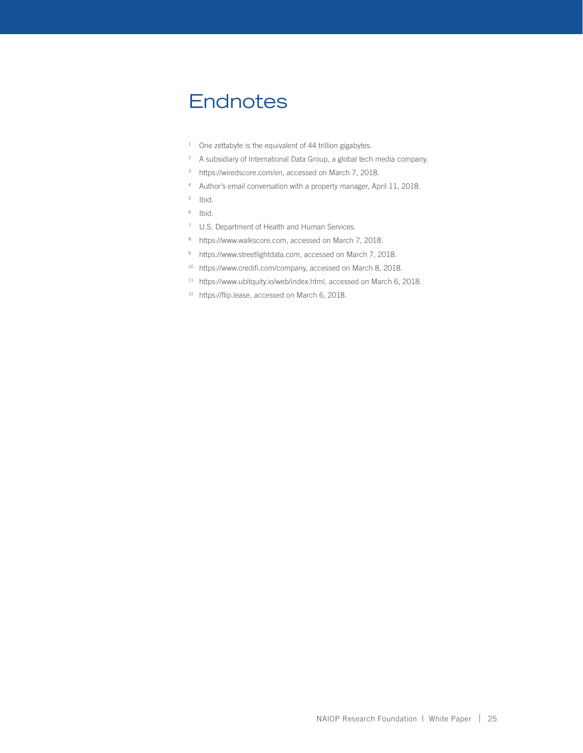### **Endnotes**

- $1$  One zettabyte is the equivalent of 44 trillion gigabytes.
- <sup>2</sup> A subsidiary of International Data Group, a global tech media company.
- 3 https://wiredscore.com/en, accessed on March 7, 2018.
- 4 Author's email conversation with a property manager, April 11, 2018.
- 5 Ibid.
- 6 Ibid.
- <sup>7</sup> U.S. Department of Health and Human Services.
- 8 https://www.walkscore.com, accessed on March 7, 2018.
- 9 https://www.streetlightdata.com, accessed on March 7, 2018.
- 10 https://www.credifi.com/company, accessed on March 8, 2018.
- 11 https://www.ubitquity.io/web/index.html, accessed on March 6, 2018.
- 12 https://flip.lease, accessed on March 6, 2018.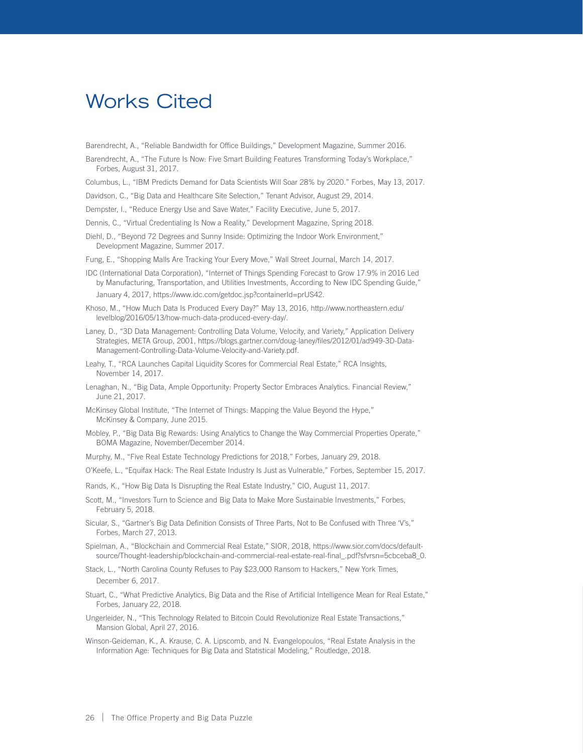### Works Cited

Barendrecht, A., "Reliable Bandwidth for Office Buildings," Development Magazine, Summer 2016.

Barendrecht, A., "The Future Is Now: Five Smart Building Features Transforming Today's Workplace," Forbes, August 31, 2017.

Columbus, L., "IBM Predicts Demand for Data Scientists Will Soar 28% by 2020." Forbes, May 13, 2017.

Davidson, C., "Big Data and Healthcare Site Selection," Tenant Advisor, August 29, 2014.

Dempster, I., "Reduce Energy Use and Save Water," Facility Executive, June 5, 2017.

Dennis, C., "Virtual Credentialing Is Now a Reality," Development Magazine, Spring 2018.

Diehl, D., "Beyond 72 Degrees and Sunny Inside: Optimizing the Indoor Work Environment," Development Magazine, Summer 2017.

Fung, E., "Shopping Malls Are Tracking Your Every Move," Wall Street Journal, March 14, 2017.

IDC (International Data Corporation), "Internet of Things Spending Forecast to Grow 17.9% in 2016 Led by Manufacturing, Transportation, and Utilities Investments, According to New IDC Spending Guide," January 4, 2017, https://www.idc.com/getdoc.jsp?containerId=prUS42.

Khoso, M., "How Much Data Is Produced Every Day?" May 13, 2016, http://www.northeastern.edu/ levelblog/2016/05/13/how-much-data-produced-every-day/.

Laney, D., "3D Data Management: Controlling Data Volume, Velocity, and Variety," Application Delivery Strategies, META Group, 2001, https://blogs.gartner.com/doug-laney/files/2012/01/ad949-3D-Data-Management-Controlling-Data-Volume-Velocity-and-Variety.pdf.

Leahy, T., "RCA Launches Capital Liquidity Scores for Commercial Real Estate," RCA Insights, November 14, 2017.

Lenaghan, N., "Big Data, Ample Opportunity: Property Sector Embraces Analytics. Financial Review," June 21, 2017.

McKinsey Global Institute, "The Internet of Things: Mapping the Value Beyond the Hype," McKinsey & Company, June 2015.

Mobley, P., "Big Data Big Rewards: Using Analytics to Change the Way Commercial Properties Operate," BOMA Magazine, November/December 2014.

Murphy, M., "Five Real Estate Technology Predictions for 2018," Forbes, January 29, 2018.

O'Keefe, L., "Equifax Hack: The Real Estate Industry Is Just as Vulnerable," Forbes, September 15, 2017.

Rands, K., "How Big Data Is Disrupting the Real Estate Industry," CIO, August 11, 2017.

Scott, M., "Investors Turn to Science and Big Data to Make More Sustainable Investments," Forbes, February 5, 2018.

Sicular, S., "Gartner's Big Data Definition Consists of Three Parts, Not to Be Confused with Three 'V's," Forbes, March 27, 2013.

Spielman, A., "Blockchain and Commercial Real Estate," SIOR, 2018, https://www.sior.com/docs/defaultsource/Thought-leadership/blockchain-and-commercial-real-estate-real-final\_.pdf?sfvrsn=5cbceba8\_0.

Stack, L., "North Carolina County Refuses to Pay \$23,000 Ransom to Hackers," New York Times, December 6, 2017.

Stuart, C., "What Predictive Analytics, Big Data and the Rise of Artificial Intelligence Mean for Real Estate," Forbes, January 22, 2018.

Ungerleider, N., "This Technology Related to Bitcoin Could Revolutionize Real Estate Transactions," Mansion Global, April 27, 2016.

Winson-Geideman, K., A. Krause, C. A. Lipscomb, and N. Evangelopoulos, "Real Estate Analysis in the Information Age: Techniques for Big Data and Statistical Modeling," Routledge, 2018.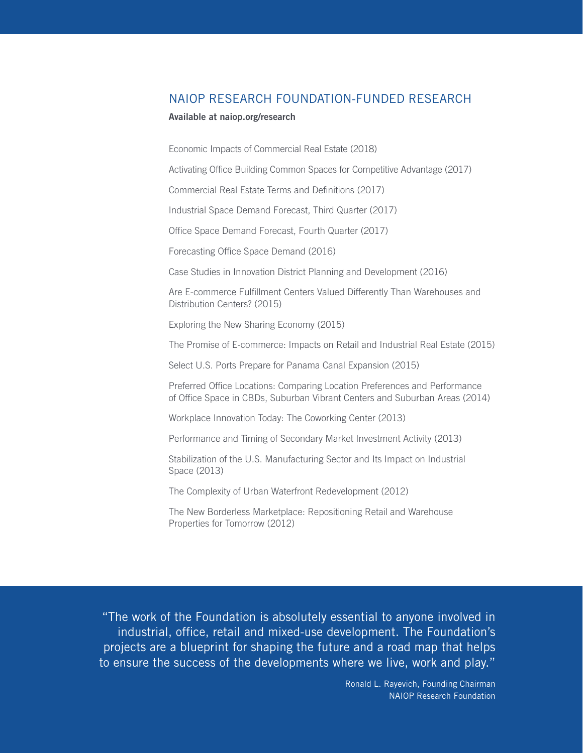### NAIOP RESEARCH FOUNDATION-FUNDED RESEARCH

#### Available at naiop.org/research

Economic Impacts of Commercial Real Estate (2018)

Activating Office Building Common Spaces for Competitive Advantage (2017)

Commercial Real Estate Terms and Definitions (2017)

Industrial Space Demand Forecast, Third Quarter (2017)

Office Space Demand Forecast, Fourth Quarter (2017)

Forecasting Office Space Demand (2016)

Case Studies in Innovation District Planning and Development (2016)

Are E-commerce Fulfillment Centers Valued Differently Than Warehouses and Distribution Centers? (2015)

Exploring the New Sharing Economy (2015)

The Promise of E-commerce: Impacts on Retail and Industrial Real Estate (2015)

Select U.S. Ports Prepare for Panama Canal Expansion (2015)

Preferred Office Locations: Comparing Location Preferences and Performance of Office Space in CBDs, Suburban Vibrant Centers and Suburban Areas (2014)

Workplace Innovation Today: The Coworking Center (2013)

Performance and Timing of Secondary Market Investment Activity (2013)

Stabilization of the U.S. Manufacturing Sector and Its Impact on Industrial Space (2013)

The Complexity of Urban Waterfront Redevelopment (2012)

The New Borderless Marketplace: Repositioning Retail and Warehouse Properties for Tomorrow (2012)

"The work of the Foundation is absolutely essential to anyone involved in industrial, office, retail and mixed-use development. The Foundation's projects are a blueprint for shaping the future and a road map that helps to ensure the success of the developments where we live, work and play."